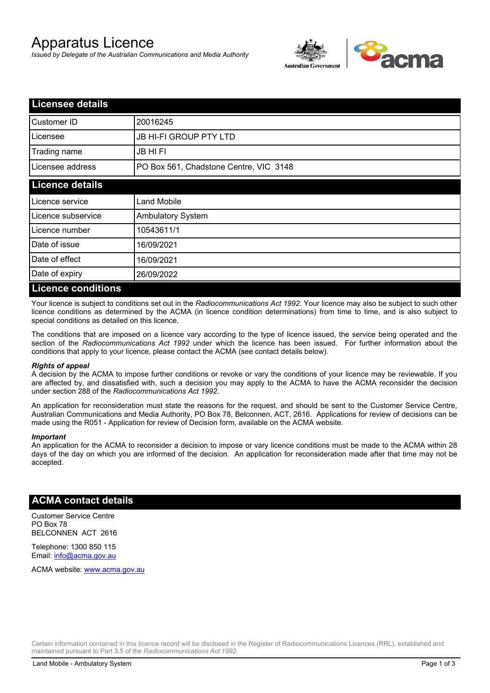# Apparatus Licence

*Issued by Delegate of the Australian Communications and Media Authority*



| <b>Licensee details</b>   |                                        |
|---------------------------|----------------------------------------|
| Customer ID               | 20016245                               |
| Licensee                  | <b>JB HI-FI GROUP PTY LTD</b>          |
| Trading name              | <b>JB HIFI</b>                         |
| Licensee address          | PO Box 561, Chadstone Centre, VIC 3148 |
| <b>Licence details</b>    |                                        |
| Licence service           | <b>Land Mobile</b>                     |
| Licence subservice        | <b>Ambulatory System</b>               |
| Licence number            | 10543611/1                             |
| Date of issue             | 16/09/2021                             |
| Date of effect            | 16/09/2021                             |
| Date of expiry            | 26/09/2022                             |
| <b>Licence conditions</b> |                                        |

Your licence is subject to conditions set out in the *Radiocommunications Act 1992*. Your licence may also be subject to such other licence conditions as determined by the ACMA (in licence condition determinations) from time to time, and is also subject to special conditions as detailed on this licence.

The conditions that are imposed on a licence vary according to the type of licence issued, the service being operated and the section of the *Radiocommunications Act 1992* under which the licence has been issued. For further information about the conditions that apply to your licence, please contact the ACMA (see contact details below).

#### *Rights of appeal*

A decision by the ACMA to impose further conditions or revoke or vary the conditions of your licence may be reviewable. If you are affected by, and dissatisfied with, such a decision you may apply to the ACMA to have the ACMA reconsider the decision under section 288 of the *Radiocommunications Act 1992*.

An application for reconsideration must state the reasons for the request, and should be sent to the Customer Service Centre, Australian Communications and Media Authority, PO Box 78, Belconnen, ACT, 2616. Applications for review of decisions can be made using the R051 - Application for review of Decision form, available on the ACMA website.

#### *Important*

An application for the ACMA to reconsider a decision to impose or vary licence conditions must be made to the ACMA within 28 days of the day on which you are informed of the decision. An application for reconsideration made after that time may not be accepted.

### **ACMA contact details**

Customer Service Centre PO Box 78 BELCONNEN ACT 2616

Telephone: 1300 850 115 Email: info@acma.gov.au

ACMA website: www.acma.gov.au

Certain information contained in this licence record will be disclosed in the Register of Radiocommunications Licences (RRL), established and maintained pursuant to Part 3.5 of the *Radiocommunications Act 1992.*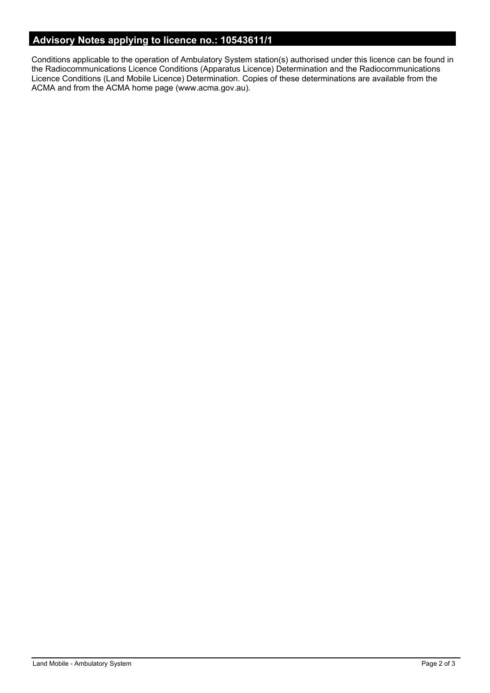# **Advisory Notes applying to licence no.: 10543611/1**

Conditions applicable to the operation of Ambulatory System station(s) authorised under this licence can be found in the Radiocommunications Licence Conditions (Apparatus Licence) Determination and the Radiocommunications Licence Conditions (Land Mobile Licence) Determination. Copies of these determinations are available from the ACMA and from the ACMA home page (www.acma.gov.au).